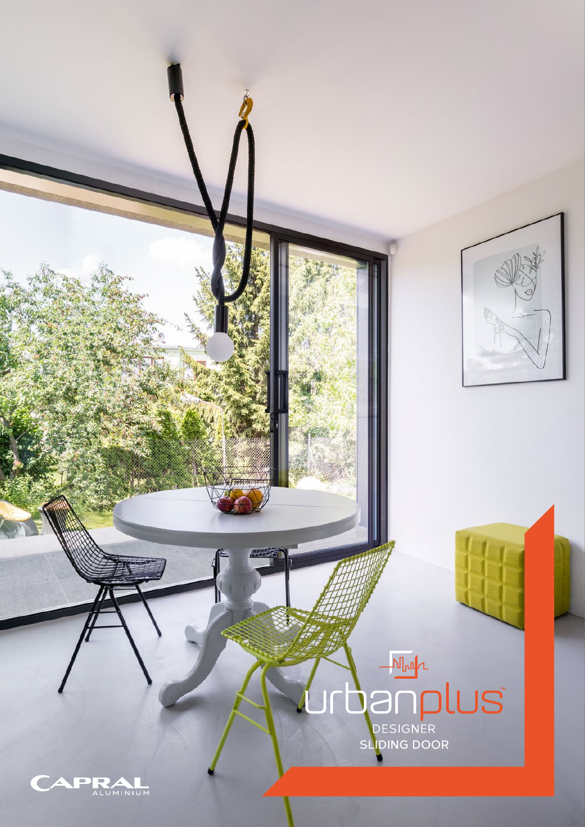